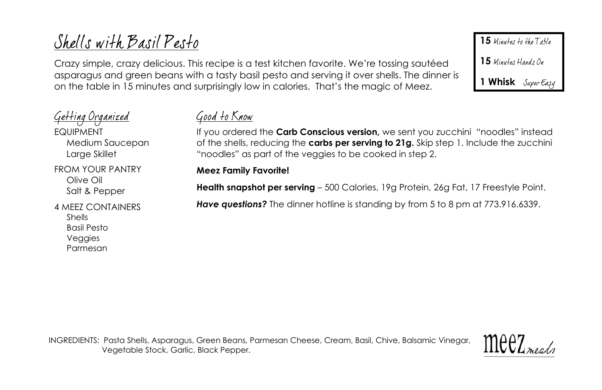# Shells with Basil Pesto

Crazy simple, crazy delicious. This recipe is a test kitchen favorite. We're tossing sautéed asparagus and green beans with a tasty basil pesto and serving it over shells. The dinner is on the table in 15 minutes and surprisingly low in calories. That's the magic of Meez.

<u>Geffing Organized</u> **FQUIPMENT** Medium Saucepan Large Skillet FROM YOUR PANTRY Olive Oil Salt & Pepper

4 MEEZ CONTAINERS Shells Basil Pesto Veggies Parmesan

# <u>Good to Know</u>

If you ordered the **Carb Conscious version,** we sent you zucchini "noodles" instead of the shells, reducing the **carbs per serving to 21g.** Skip step 1. Include the zucchini "noodles" as part of the veggies to be cooked in step 2.

## **Meez Family Favorite!**

**Health snapshot per serving** – 500 Calories, 19g Protein, 26g Fat, 17 Freestyle Point.

*Have questions?* The dinner hotline is standing by from 5 to 8 pm at 773.916.6339.

INGREDIENTS: Pasta Shells, Asparagus, Green Beans, Parmesan Cheese, Cream, Basil, Chive, Balsamic Vinegar, Vegetable Stock, Garlic, Black Pepper.



15 Minutes to the Table

15 Minutes Hands On

**1 Whisk**